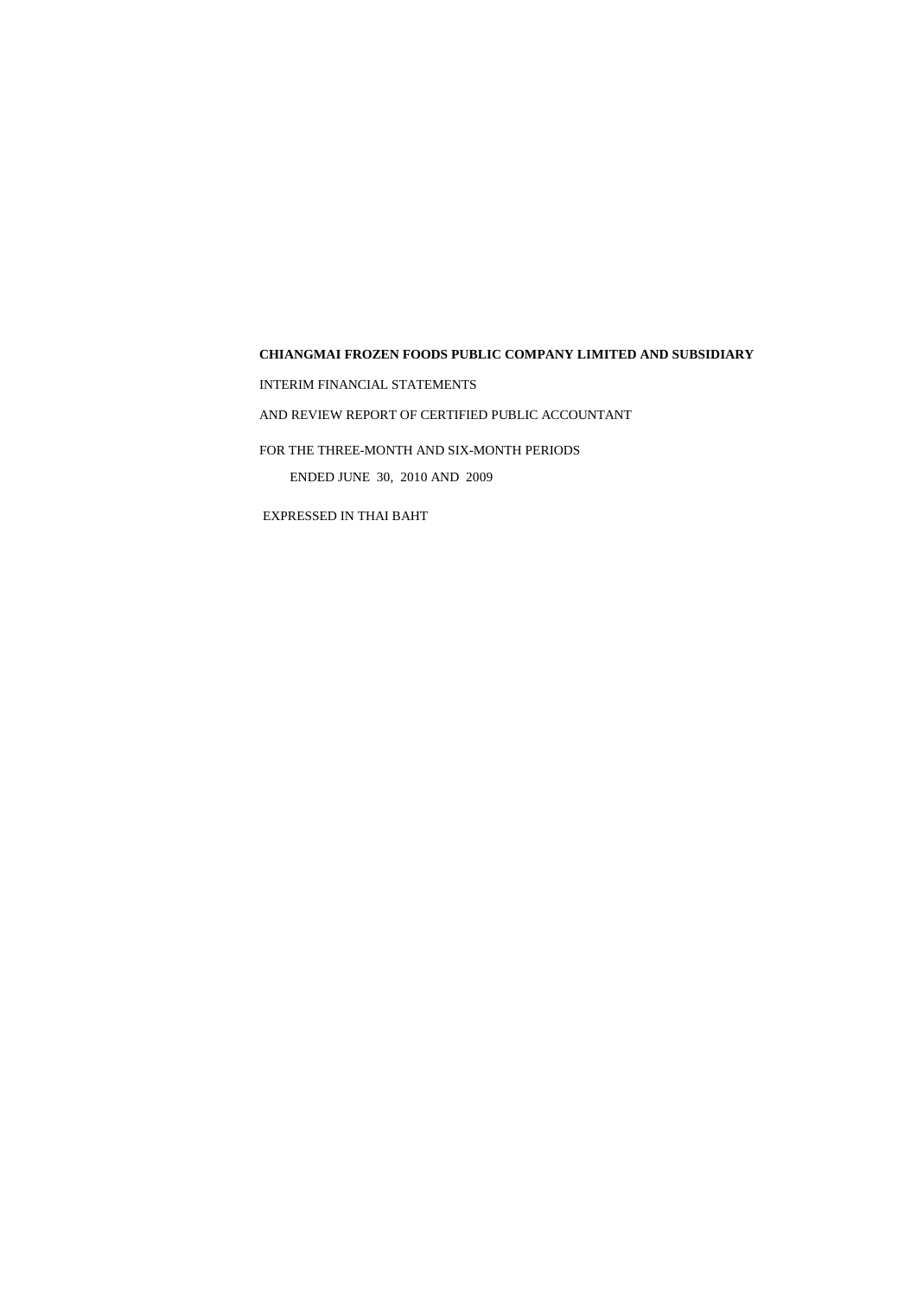INTERIM FINANCIAL STATEMENTS

AND REVIEW REPORT OF CERTIFIED PUBLIC ACCOUNTANT

FOR THE THREE-MONTH AND SIX-MONTH PERIODS

ENDED JUNE 30, 2010 AND 2009

EXPRESSED IN THAI BAHT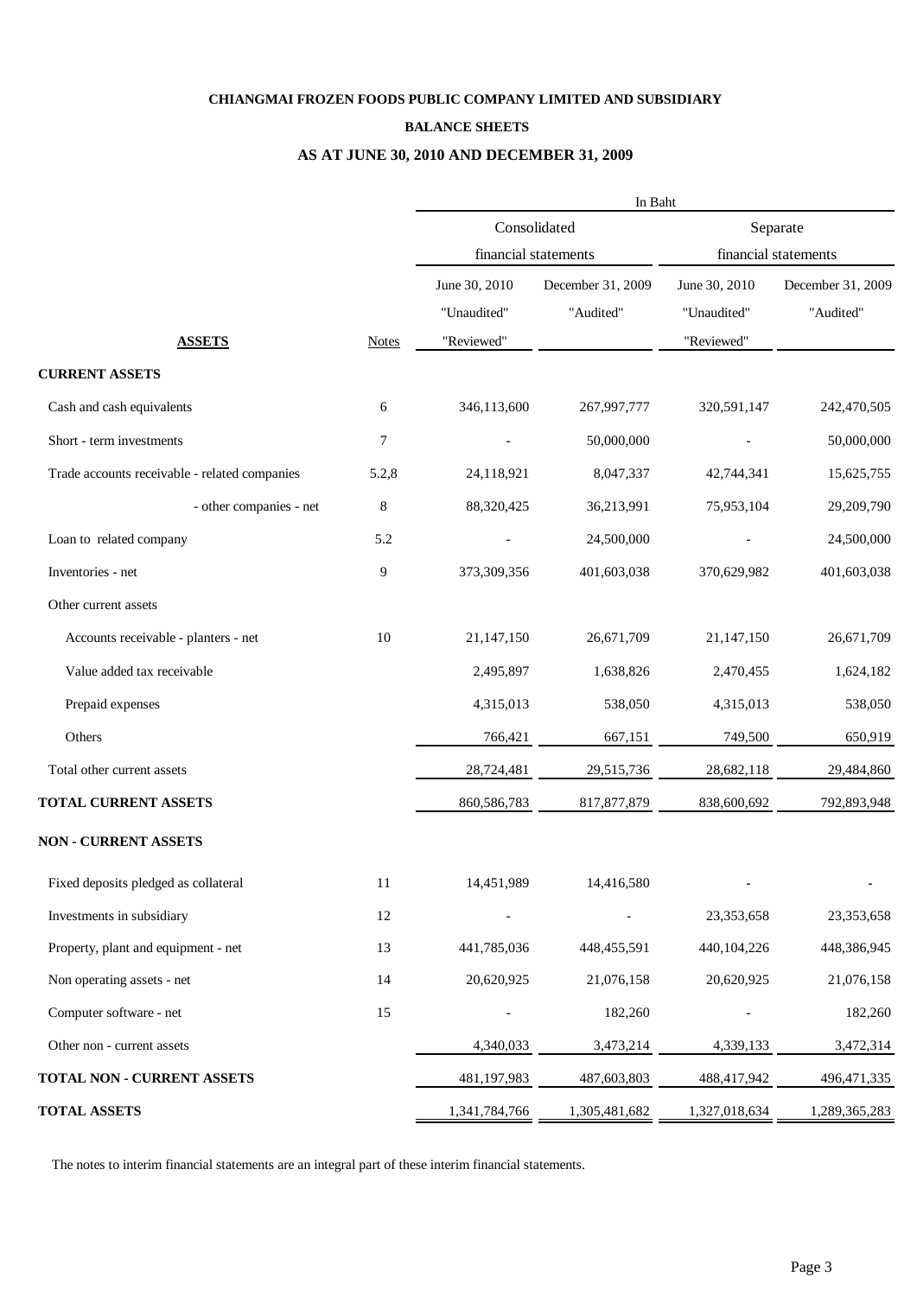### **BALANCE SHEETS**

# **AS AT JUNE 30, 2010 AND DECEMBER 31, 2009**

|                                               |              | In Baht                      |                                |                              |                                |  |  |  |  |
|-----------------------------------------------|--------------|------------------------------|--------------------------------|------------------------------|--------------------------------|--|--|--|--|
|                                               |              |                              | Consolidated                   | Separate                     |                                |  |  |  |  |
|                                               |              | financial statements         |                                |                              | financial statements           |  |  |  |  |
|                                               |              | June 30, 2010<br>"Unaudited" | December 31, 2009<br>"Audited" | June 30, 2010<br>"Unaudited" | December 31, 2009<br>"Audited" |  |  |  |  |
| <b>ASSETS</b>                                 | <b>Notes</b> | "Reviewed"                   |                                | "Reviewed"                   |                                |  |  |  |  |
| <b>CURRENT ASSETS</b>                         |              |                              |                                |                              |                                |  |  |  |  |
| Cash and cash equivalents                     | 6            | 346,113,600                  | 267,997,777                    | 320,591,147                  | 242,470,505                    |  |  |  |  |
| Short - term investments                      | $\tau$       |                              | 50,000,000                     |                              | 50,000,000                     |  |  |  |  |
| Trade accounts receivable - related companies | 5.2,8        | 24,118,921                   | 8,047,337                      | 42,744,341                   | 15,625,755                     |  |  |  |  |
| - other companies - net                       | 8            | 88,320,425                   | 36,213,991                     | 75,953,104                   | 29,209,790                     |  |  |  |  |
| Loan to related company                       | 5.2          |                              | 24,500,000                     |                              | 24,500,000                     |  |  |  |  |
| Inventories - net                             | 9            | 373,309,356                  | 401,603,038                    | 370,629,982                  | 401,603,038                    |  |  |  |  |
| Other current assets                          |              |                              |                                |                              |                                |  |  |  |  |
| Accounts receivable - planters - net          | 10           | 21,147,150                   | 26,671,709                     | 21,147,150                   | 26,671,709                     |  |  |  |  |
| Value added tax receivable                    |              | 2,495,897                    | 1,638,826                      | 2,470,455                    | 1,624,182                      |  |  |  |  |
| Prepaid expenses                              |              | 4,315,013                    | 538,050                        | 4,315,013                    | 538,050                        |  |  |  |  |
| Others                                        |              | 766,421                      | 667,151                        | 749,500                      | 650,919                        |  |  |  |  |
| Total other current assets                    |              | 28,724,481                   | 29,515,736                     | 28,682,118                   | 29,484,860                     |  |  |  |  |
| TOTAL CURRENT ASSETS                          |              | 860,586,783                  | 817,877,879                    | 838,600,692                  | 792,893,948                    |  |  |  |  |
| <b>NON - CURRENT ASSETS</b>                   |              |                              |                                |                              |                                |  |  |  |  |
| Fixed deposits pledged as collateral          | 11           | 14,451,989                   | 14,416,580                     |                              |                                |  |  |  |  |
| Investments in subsidiary                     | $12\,$       |                              |                                | 23,353,658                   | 23,353,658                     |  |  |  |  |
| Property, plant and equipment - net           | 13           | 441,785,036                  | 448, 455, 591                  | 440, 104, 226                | 448,386,945                    |  |  |  |  |
| Non operating assets - net                    | 14           | 20,620,925                   | 21,076,158                     | 20,620,925                   | 21,076,158                     |  |  |  |  |
| Computer software - net                       | 15           |                              | 182,260                        |                              | 182,260                        |  |  |  |  |
| Other non - current assets                    |              | 4,340,033                    | 3,473,214                      | 4,339,133                    | 3,472,314                      |  |  |  |  |
| TOTAL NON - CURRENT ASSETS                    |              | 481,197,983                  | 487,603,803                    | 488,417,942                  | 496,471,335                    |  |  |  |  |
| <b>TOTAL ASSETS</b>                           |              | 1,341,784,766                | 1,305,481,682                  | 1,327,018,634                | 1,289,365,283                  |  |  |  |  |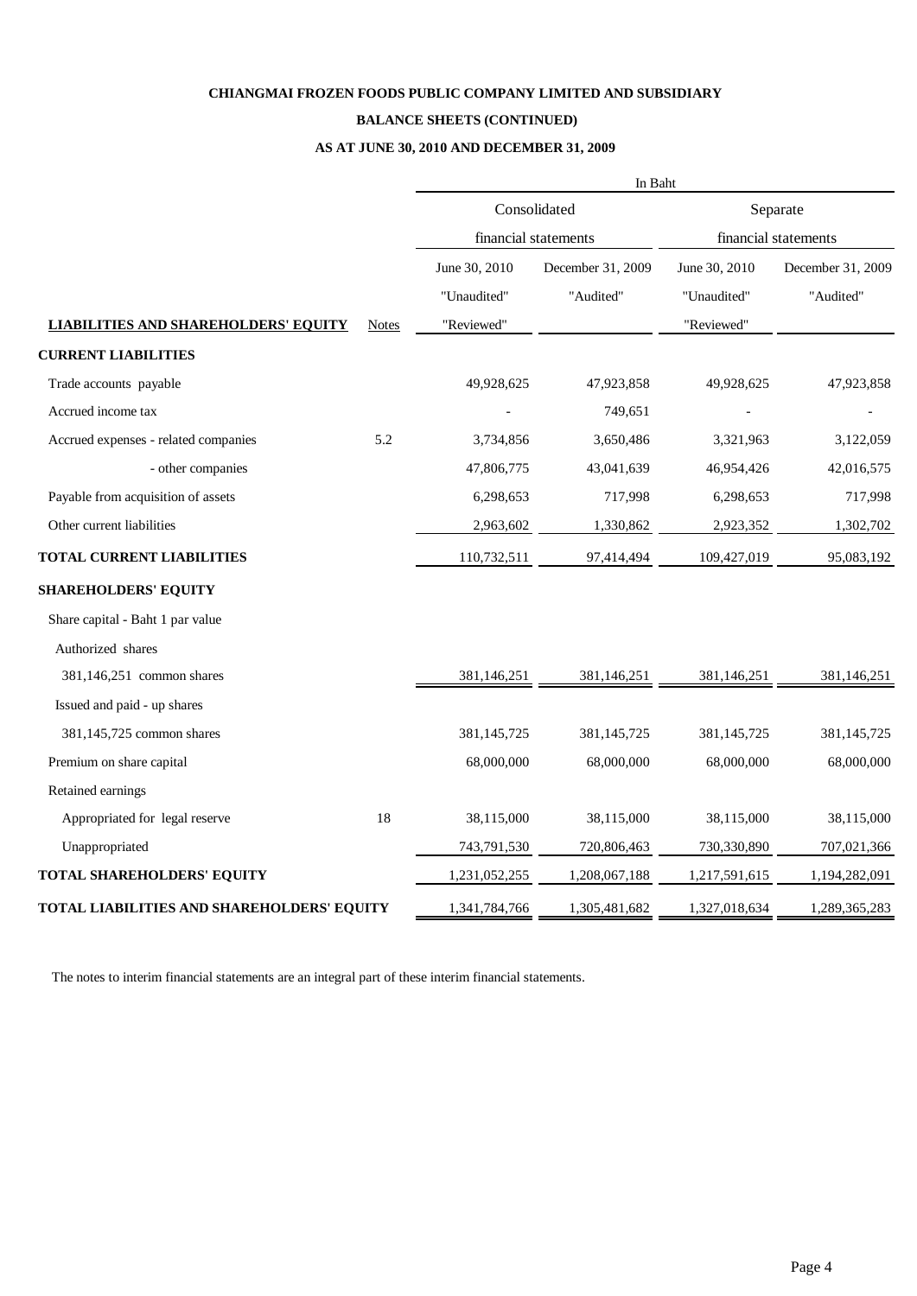### **BALANCE SHEETS (CONTINUED)**

# **AS AT JUNE 30, 2010 AND DECEMBER 31, 2009**

|                                             |              | In Baht              |                   |                      |                   |  |  |  |
|---------------------------------------------|--------------|----------------------|-------------------|----------------------|-------------------|--|--|--|
|                                             |              |                      | Consolidated      | Separate             |                   |  |  |  |
|                                             |              | financial statements |                   | financial statements |                   |  |  |  |
|                                             |              | June 30, 2010        | December 31, 2009 | June 30, 2010        | December 31, 2009 |  |  |  |
|                                             |              | "Unaudited"          | "Audited"         | "Unaudited"          | "Audited"         |  |  |  |
| <b>LIABILITIES AND SHAREHOLDERS' EQUITY</b> | <b>Notes</b> | "Reviewed"           |                   | "Reviewed"           |                   |  |  |  |
| <b>CURRENT LIABILITIES</b>                  |              |                      |                   |                      |                   |  |  |  |
| Trade accounts payable                      |              | 49,928,625           | 47,923,858        | 49,928,625           | 47,923,858        |  |  |  |
| Accrued income tax                          |              |                      | 749,651           |                      |                   |  |  |  |
| Accrued expenses - related companies        | 5.2          | 3,734,856            | 3,650,486         | 3,321,963            | 3,122,059         |  |  |  |
| - other companies                           |              | 47,806,775           | 43,041,639        | 46,954,426           | 42,016,575        |  |  |  |
| Payable from acquisition of assets          |              | 6,298,653            | 717,998           | 6,298,653            | 717,998           |  |  |  |
| Other current liabilities                   |              | 2,963,602            | 1,330,862         | 2,923,352            | 1,302,702         |  |  |  |
| <b>TOTAL CURRENT LIABILITIES</b>            |              | 110,732,511          | 97,414,494        | 109,427,019          | 95,083,192        |  |  |  |
| <b>SHAREHOLDERS' EQUITY</b>                 |              |                      |                   |                      |                   |  |  |  |
| Share capital - Baht 1 par value            |              |                      |                   |                      |                   |  |  |  |
| Authorized shares                           |              |                      |                   |                      |                   |  |  |  |
| 381,146,251 common shares                   |              | 381,146,251          | 381,146,251       | 381,146,251          | 381,146,251       |  |  |  |
| Issued and paid - up shares                 |              |                      |                   |                      |                   |  |  |  |
| 381,145,725 common shares                   |              | 381,145,725          | 381,145,725       | 381,145,725          | 381,145,725       |  |  |  |
| Premium on share capital                    |              | 68,000,000           | 68,000,000        | 68,000,000           | 68,000,000        |  |  |  |
| Retained earnings                           |              |                      |                   |                      |                   |  |  |  |
| Appropriated for legal reserve              | 18           | 38,115,000           | 38,115,000        | 38,115,000           | 38,115,000        |  |  |  |
| Unappropriated                              |              | 743,791,530          | 720,806,463       | 730,330,890          | 707,021,366       |  |  |  |
| <b>TOTAL SHAREHOLDERS' EQUITY</b>           |              | 1,231,052,255        | 1,208,067,188     | 1,217,591,615        | 1,194,282,091     |  |  |  |
| TOTAL LIABILITIES AND SHAREHOLDERS' EQUITY  |              | 1,341,784,766        | 1,305,481,682     | 1,327,018,634        | 1,289,365,283     |  |  |  |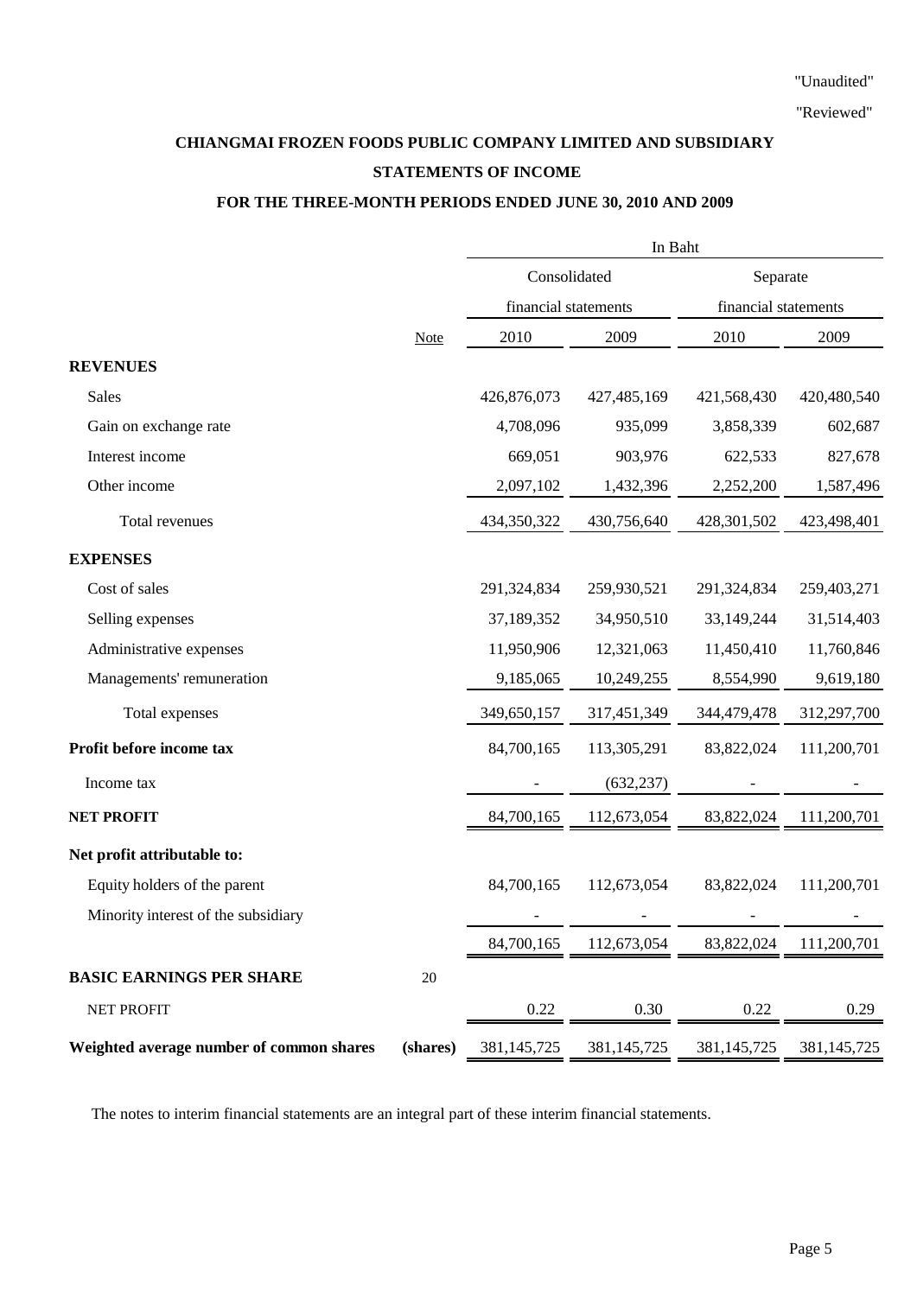# **CHIANGMAI FROZEN FOODS PUBLIC COMPANY LIMITED AND SUBSIDIARY STATEMENTS OF INCOME**

# **FOR THE THREE-MONTH PERIODS ENDED JUNE 30, 2010 AND 2009**

|                                          |             | In Baht              |             |                      |             |  |  |
|------------------------------------------|-------------|----------------------|-------------|----------------------|-------------|--|--|
|                                          |             | Consolidated         |             | Separate             |             |  |  |
|                                          |             | financial statements |             | financial statements |             |  |  |
|                                          | <b>Note</b> | 2010                 | 2009        | 2010                 | 2009        |  |  |
| <b>REVENUES</b>                          |             |                      |             |                      |             |  |  |
| <b>Sales</b>                             |             | 426,876,073          | 427,485,169 | 421,568,430          | 420,480,540 |  |  |
| Gain on exchange rate                    |             | 4,708,096            | 935,099     | 3,858,339            | 602,687     |  |  |
| Interest income                          |             | 669,051              | 903,976     | 622,533              | 827,678     |  |  |
| Other income                             |             | 2,097,102            | 1,432,396   | 2,252,200            | 1,587,496   |  |  |
| Total revenues                           |             | 434,350,322          | 430,756,640 | 428,301,502          | 423,498,401 |  |  |
| <b>EXPENSES</b>                          |             |                      |             |                      |             |  |  |
| Cost of sales                            |             | 291,324,834          | 259,930,521 | 291,324,834          | 259,403,271 |  |  |
| Selling expenses                         |             | 37,189,352           | 34,950,510  | 33,149,244           | 31,514,403  |  |  |
| Administrative expenses                  |             | 11,950,906           | 12,321,063  | 11,450,410           | 11,760,846  |  |  |
| Managements' remuneration                |             | 9,185,065            | 10,249,255  | 8,554,990            | 9,619,180   |  |  |
| Total expenses                           |             | 349,650,157          | 317,451,349 | 344,479,478          | 312,297,700 |  |  |
| Profit before income tax                 |             | 84,700,165           | 113,305,291 | 83, 822, 024         | 111,200,701 |  |  |
| Income tax                               |             |                      | (632, 237)  |                      |             |  |  |
| <b>NET PROFIT</b>                        |             | 84,700,165           | 112,673,054 | 83, 822, 024         | 111,200,701 |  |  |
| Net profit attributable to:              |             |                      |             |                      |             |  |  |
| Equity holders of the parent             |             | 84,700,165           | 112,673,054 | 83, 822, 024         | 111,200,701 |  |  |
| Minority interest of the subsidiary      |             |                      |             |                      |             |  |  |
|                                          |             | 84,700,165           | 112,673,054 | 83, 822, 024         | 111,200,701 |  |  |
| <b>BASIC EARNINGS PER SHARE</b>          | $20\,$      |                      |             |                      |             |  |  |
| NET PROFIT                               |             | 0.22                 | 0.30        | 0.22                 | 0.29        |  |  |
| Weighted average number of common shares | (shares)    | 381, 145, 725        | 381,145,725 | 381,145,725          | 381,145,725 |  |  |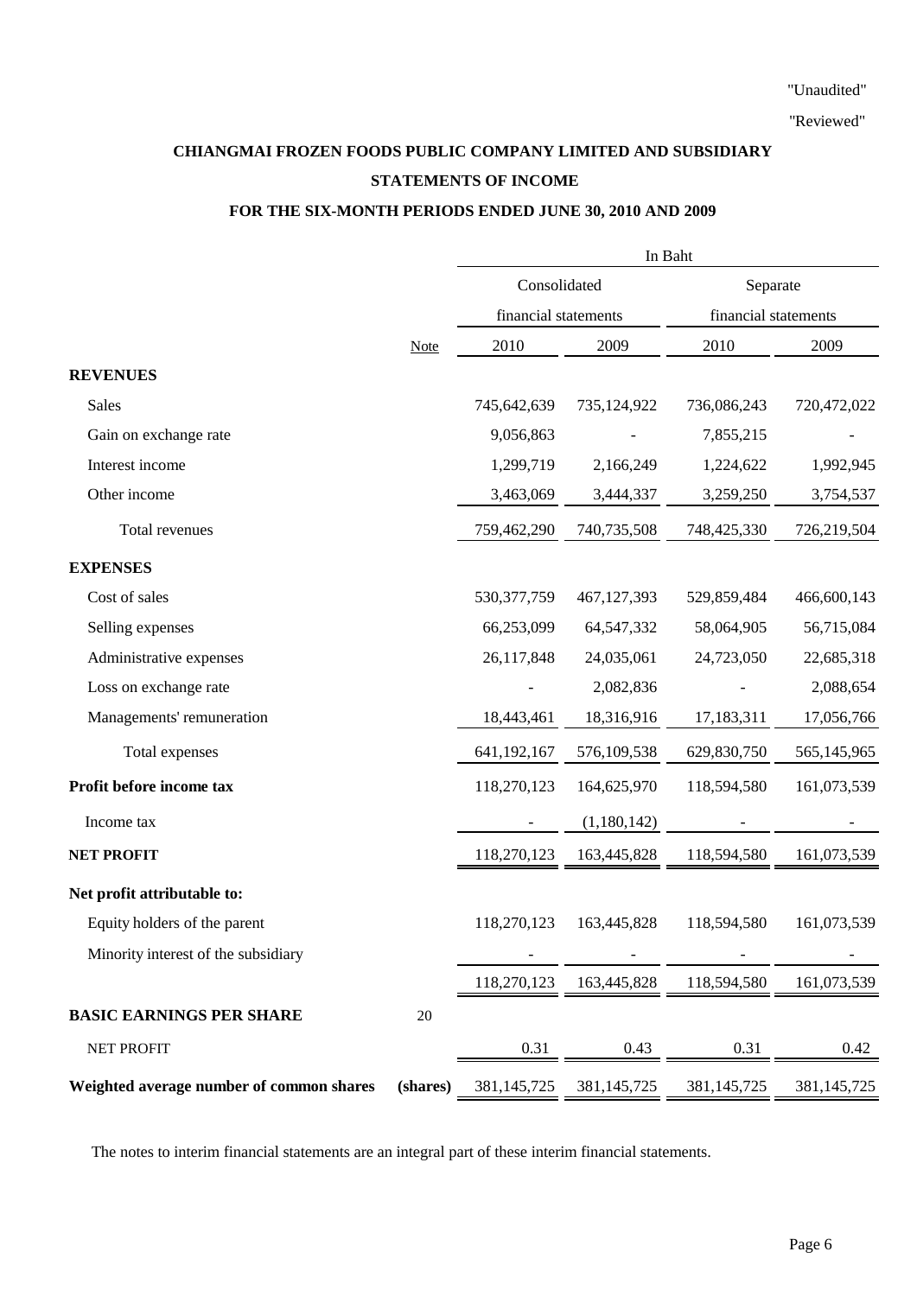# **CHIANGMAI FROZEN FOODS PUBLIC COMPANY LIMITED AND SUBSIDIARY STATEMENTS OF INCOME**

# **FOR THE SIX-MONTH PERIODS ENDED JUNE 30, 2010 AND 2009**

|                                          |             | In Baht              |               |                      |               |  |  |
|------------------------------------------|-------------|----------------------|---------------|----------------------|---------------|--|--|
|                                          |             | Consolidated         |               | Separate             |               |  |  |
|                                          |             | financial statements |               | financial statements |               |  |  |
|                                          | <b>Note</b> | 2010                 | 2009          | 2010                 | 2009          |  |  |
| <b>REVENUES</b>                          |             |                      |               |                      |               |  |  |
| <b>Sales</b>                             |             | 745,642,639          | 735,124,922   | 736,086,243          | 720,472,022   |  |  |
| Gain on exchange rate                    |             | 9,056,863            |               | 7,855,215            |               |  |  |
| Interest income                          |             | 1,299,719            | 2,166,249     | 1,224,622            | 1,992,945     |  |  |
| Other income                             |             | 3,463,069            | 3,444,337     | 3,259,250            | 3,754,537     |  |  |
| Total revenues                           |             | 759,462,290          | 740,735,508   | 748,425,330          | 726,219,504   |  |  |
| <b>EXPENSES</b>                          |             |                      |               |                      |               |  |  |
| Cost of sales                            |             | 530, 377, 759        | 467,127,393   | 529,859,484          | 466,600,143   |  |  |
| Selling expenses                         |             | 66,253,099           | 64, 547, 332  | 58,064,905           | 56,715,084    |  |  |
| Administrative expenses                  |             | 26,117,848           | 24,035,061    | 24,723,050           | 22,685,318    |  |  |
| Loss on exchange rate                    |             |                      | 2,082,836     |                      | 2,088,654     |  |  |
| Managements' remuneration                |             | 18,443,461           | 18,316,916    | 17,183,311           | 17,056,766    |  |  |
| Total expenses                           |             | 641,192,167          | 576,109,538   | 629,830,750          | 565,145,965   |  |  |
| Profit before income tax                 |             | 118,270,123          | 164,625,970   | 118,594,580          | 161,073,539   |  |  |
| Income tax                               |             |                      | (1,180,142)   |                      |               |  |  |
| <b>NET PROFIT</b>                        |             | 118,270,123          | 163,445,828   | 118,594,580          | 161,073,539   |  |  |
| Net profit attributable to:              |             |                      |               |                      |               |  |  |
| Equity holders of the parent             |             | 118,270,123          | 163,445,828   | 118,594,580          | 161,073,539   |  |  |
| Minority interest of the subsidiary      |             |                      |               |                      |               |  |  |
|                                          |             | 118,270,123          | 163,445,828   | 118,594,580          | 161,073,539   |  |  |
| <b>BASIC EARNINGS PER SHARE</b>          | $20\,$      |                      |               |                      |               |  |  |
| NET PROFIT                               |             | 0.31                 | 0.43          | 0.31                 | 0.42          |  |  |
| Weighted average number of common shares | (shares)    | 381, 145, 725        | 381, 145, 725 | 381, 145, 725        | 381, 145, 725 |  |  |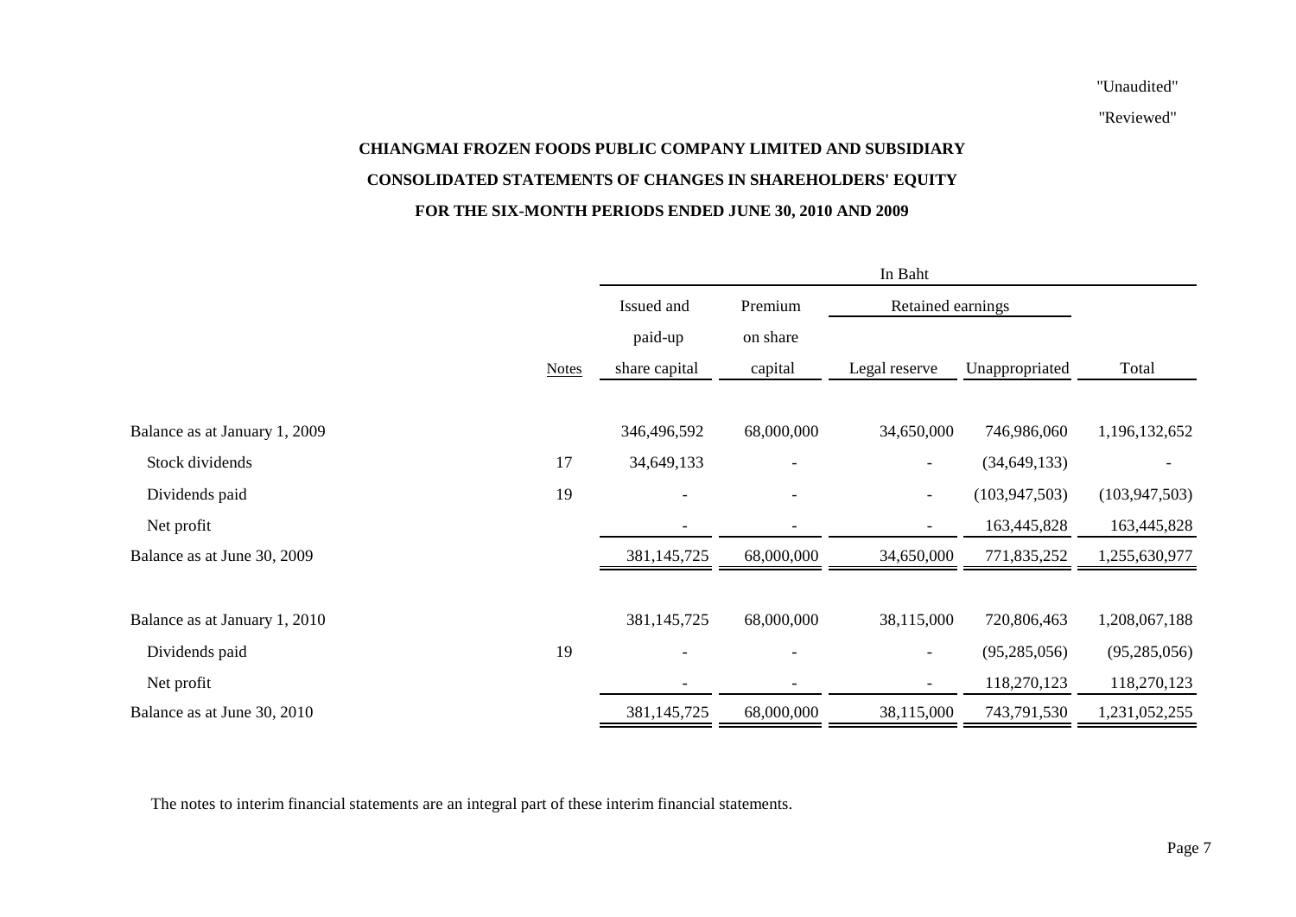"Reviewed"

# **CHIANGMAI FROZEN FOODS PUBLIC COMPANY LIMITED AND SUBSIDIARY CONSOLIDATED STATEMENTS OF CHANGES IN SHAREHOLDERS' EQUITY FOR THE SIX-MONTH PERIODS ENDED JUNE 30, 2010 AND 2009**

|                               | In Baht      |                       |                          |                          |                 |                 |  |  |
|-------------------------------|--------------|-----------------------|--------------------------|--------------------------|-----------------|-----------------|--|--|
|                               |              | Issued and<br>Premium |                          | Retained earnings        |                 |                 |  |  |
|                               |              | paid-up               | on share                 |                          |                 |                 |  |  |
|                               | <b>Notes</b> | share capital         | capital                  | Legal reserve            | Unappropriated  | Total           |  |  |
|                               |              |                       |                          |                          |                 |                 |  |  |
| Balance as at January 1, 2009 |              | 346,496,592           | 68,000,000               | 34,650,000               | 746,986,060     | 1,196,132,652   |  |  |
| Stock dividends               | 17           | 34,649,133            | $\overline{\phantom{a}}$ | $-$                      | (34, 649, 133)  |                 |  |  |
| Dividends paid                | 19           |                       | $\overline{\phantom{a}}$ | $\overline{\phantom{a}}$ | (103, 947, 503) | (103, 947, 503) |  |  |
| Net profit                    |              |                       |                          | $\overline{\phantom{a}}$ | 163,445,828     | 163,445,828     |  |  |
| Balance as at June 30, 2009   |              | 381, 145, 725         | 68,000,000               | 34,650,000               | 771,835,252     | 1,255,630,977   |  |  |
|                               |              |                       |                          |                          |                 |                 |  |  |
| Balance as at January 1, 2010 |              | 381,145,725           | 68,000,000               | 38,115,000               | 720,806,463     | 1,208,067,188   |  |  |
| Dividends paid                | 19           |                       |                          | $\overline{\phantom{a}}$ | (95, 285, 056)  | (95, 285, 056)  |  |  |
| Net profit                    |              |                       |                          | $\overline{\phantom{a}}$ | 118,270,123     | 118,270,123     |  |  |
| Balance as at June 30, 2010   |              | 381,145,725           | 68,000,000               | 38,115,000               | 743,791,530     | 1,231,052,255   |  |  |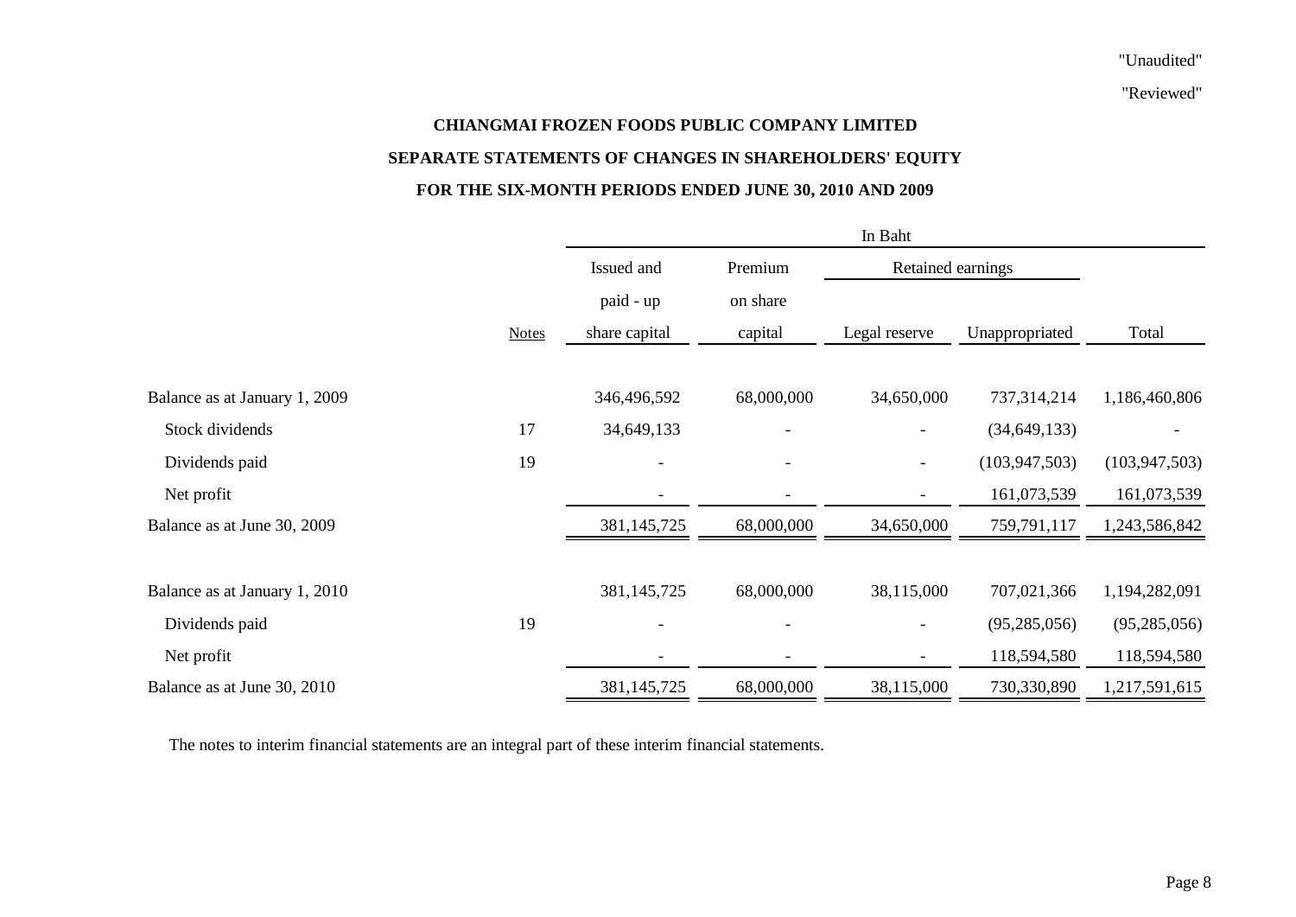"Reviewed"

# **CHIANGMAI FROZEN FOODS PUBLIC COMPANY LIMITED SEPARATE STATEMENTS OF CHANGES IN SHAREHOLDERS' EQUITY FOR THE SIX-MONTH PERIODS ENDED JUNE 30, 2010 AND 2009**

|                               |              | In Baht                      |            |                          |                 |                 |  |  |
|-------------------------------|--------------|------------------------------|------------|--------------------------|-----------------|-----------------|--|--|
|                               |              | Issued and                   | Premium    | Retained earnings        |                 |                 |  |  |
|                               |              | paid - up                    | on share   |                          |                 |                 |  |  |
|                               | <b>Notes</b> | share capital                | capital    | Legal reserve            | Unappropriated  | Total           |  |  |
|                               |              |                              |            |                          |                 |                 |  |  |
| Balance as at January 1, 2009 |              | 346,496,592                  | 68,000,000 | 34,650,000               | 737,314,214     | 1,186,460,806   |  |  |
| Stock dividends               | 17           | 34,649,133                   |            |                          | (34, 649, 133)  |                 |  |  |
| Dividends paid                | 19           | $\overline{\phantom{a}}$     |            |                          | (103, 947, 503) | (103, 947, 503) |  |  |
| Net profit                    |              | $\overline{\phantom{a}}$     | -          | $\overline{\phantom{a}}$ | 161,073,539     | 161,073,539     |  |  |
| Balance as at June 30, 2009   |              | 381,145,725                  | 68,000,000 | 34,650,000               | 759,791,117     | 1,243,586,842   |  |  |
|                               |              |                              |            |                          |                 |                 |  |  |
| Balance as at January 1, 2010 |              | 381,145,725                  | 68,000,000 | 38,115,000               | 707,021,366     | 1,194,282,091   |  |  |
| Dividends paid                | 19           | $\overline{\phantom{a}}$     |            |                          | (95, 285, 056)  | (95, 285, 056)  |  |  |
| Net profit                    |              | $\qquad \qquad \blacksquare$ |            |                          | 118,594,580     | 118,594,580     |  |  |
| Balance as at June 30, 2010   |              | 381,145,725                  | 68,000,000 | 38,115,000               | 730,330,890     | 1,217,591,615   |  |  |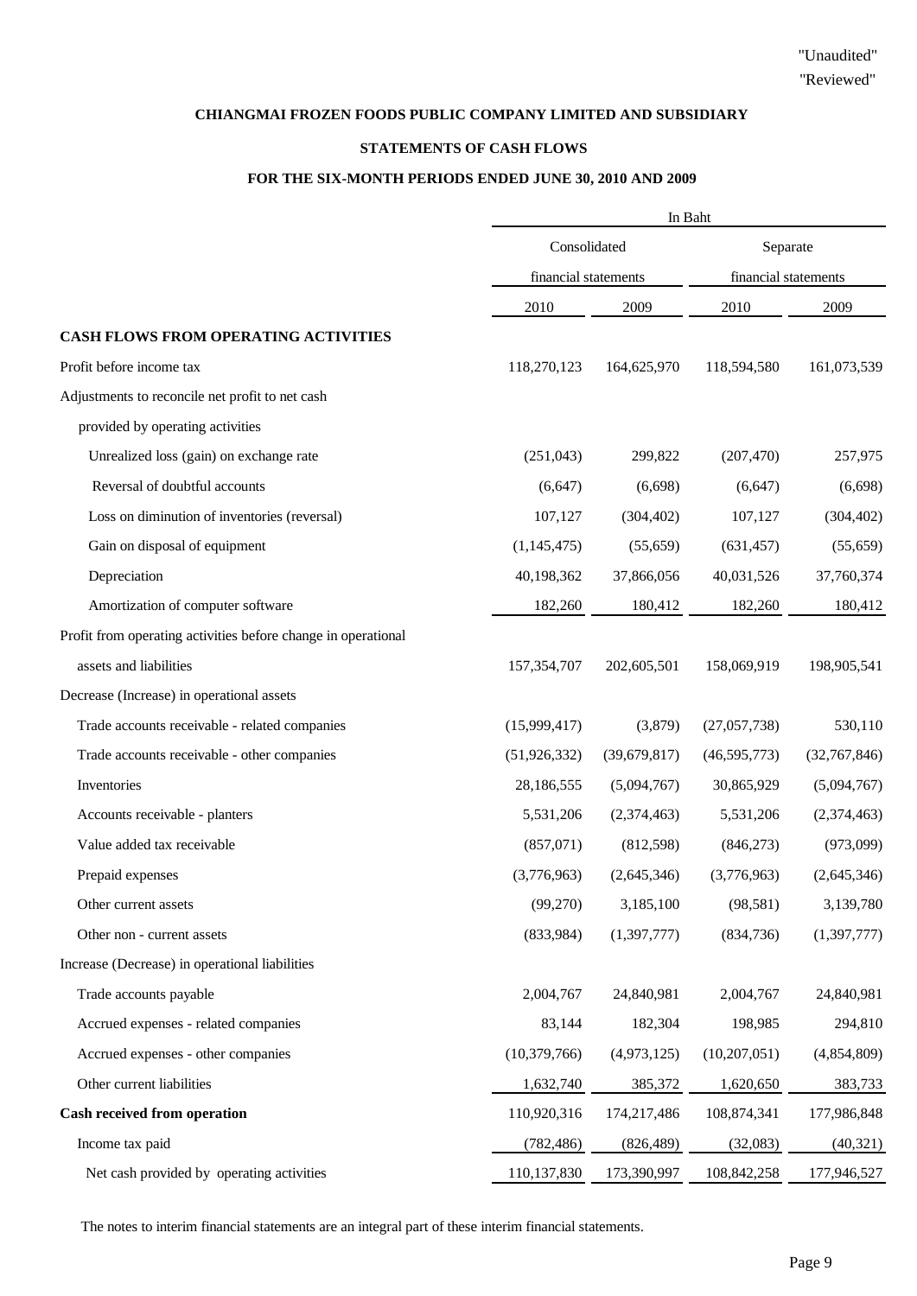### **STATEMENTS OF CASH FLOWS**

# **FOR THE SIX-MONTH PERIODS ENDED JUNE 30, 2010 AND 2009**

|                                                               | In Baht              |                |                      |               |  |
|---------------------------------------------------------------|----------------------|----------------|----------------------|---------------|--|
|                                                               | Consolidated         |                | Separate             |               |  |
|                                                               | financial statements |                | financial statements |               |  |
|                                                               | 2010                 | 2009           | 2010                 | 2009          |  |
| CASH FLOWS FROM OPERATING ACTIVITIES                          |                      |                |                      |               |  |
| Profit before income tax                                      | 118,270,123          | 164,625,970    | 118,594,580          | 161,073,539   |  |
| Adjustments to reconcile net profit to net cash               |                      |                |                      |               |  |
| provided by operating activities                              |                      |                |                      |               |  |
| Unrealized loss (gain) on exchange rate                       | (251, 043)           | 299,822        | (207, 470)           | 257,975       |  |
| Reversal of doubtful accounts                                 | (6, 647)             | (6,698)        | (6,647)              | (6,698)       |  |
| Loss on diminution of inventories (reversal)                  | 107,127              | (304, 402)     | 107,127              | (304, 402)    |  |
| Gain on disposal of equipment                                 | (1, 145, 475)        | (55, 659)      | (631, 457)           | (55, 659)     |  |
| Depreciation                                                  | 40,198,362           | 37,866,056     | 40,031,526           | 37,760,374    |  |
| Amortization of computer software                             | 182,260              | 180,412        | 182,260              | 180,412       |  |
| Profit from operating activities before change in operational |                      |                |                      |               |  |
| assets and liabilities                                        | 157,354,707          | 202,605,501    | 158,069,919          | 198,905,541   |  |
| Decrease (Increase) in operational assets                     |                      |                |                      |               |  |
| Trade accounts receivable - related companies                 | (15,999,417)         | (3,879)        | (27,057,738)         | 530,110       |  |
| Trade accounts receivable - other companies                   | (51, 926, 332)       | (39, 679, 817) | (46, 595, 773)       | (32,767,846)  |  |
| Inventories                                                   | 28,186,555           | (5,094,767)    | 30,865,929           | (5,094,767)   |  |
| Accounts receivable - planters                                | 5,531,206            | (2,374,463)    | 5,531,206            | (2,374,463)   |  |
| Value added tax receivable                                    | (857,071)            | (812,598)      | (846,273)            | (973,099)     |  |
| Prepaid expenses                                              | (3,776,963)          | (2,645,346)    | (3,776,963)          | (2,645,346)   |  |
| Other current assets                                          | (99,270)             | 3,185,100      | (98, 581)            | 3,139,780     |  |
| Other non - current assets                                    | (833,984)            | (1, 397, 777)  | (834, 736)           | (1, 397, 777) |  |
| Increase (Decrease) in operational liabilities                |                      |                |                      |               |  |
| Trade accounts payable                                        | 2,004,767            | 24,840,981     | 2,004,767            | 24,840,981    |  |
| Accrued expenses - related companies                          | 83,144               | 182,304        | 198,985              | 294,810       |  |
| Accrued expenses - other companies                            | (10, 379, 766)       | (4,973,125)    | (10,207,051)         | (4,854,809)   |  |
| Other current liabilities                                     | 1,632,740            | 385,372        | 1,620,650            | 383,733       |  |
| Cash received from operation                                  | 110,920,316          | 174,217,486    | 108,874,341          | 177,986,848   |  |
| Income tax paid                                               | (782, 486)           | (826, 489)     | (32,083)             | (40, 321)     |  |
| Net cash provided by operating activities                     | 110,137,830          | 173,390,997    | 108,842,258          | 177,946,527   |  |